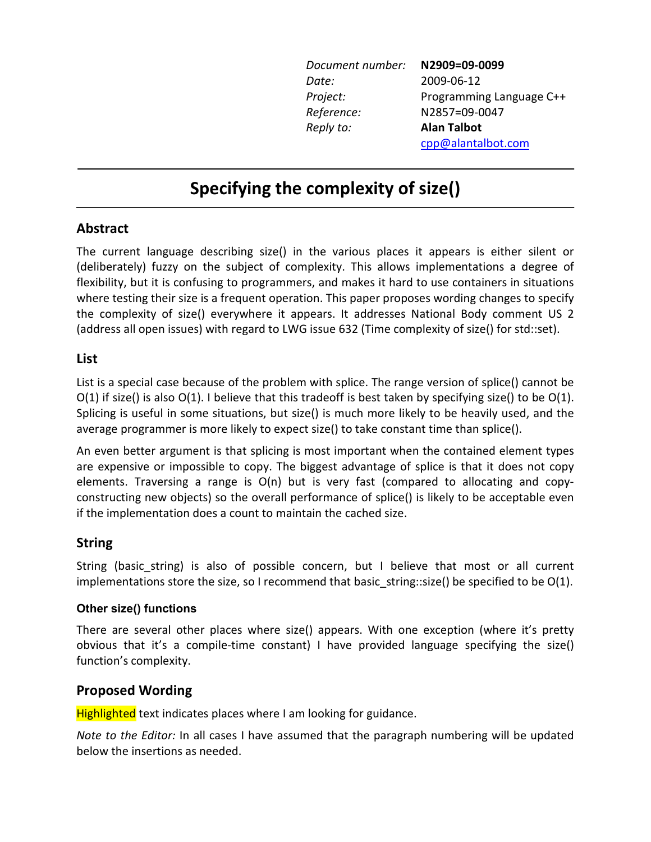| Document number: | N2909=09-0099            |
|------------------|--------------------------|
| Date:            | 2009-06-12               |
| Project:         | Programming Language C++ |
| Reference:       | N2857=09-0047            |
| Reply to:        | <b>Alan Talbot</b>       |
|                  | cpp@alantalbot.com       |

# **Specifying the complexity of size()**

## **Abstract**

The current language describing size() in the various places it appears is either silent or (deliberately) fuzzy on the subject of complexity. This allows implementations a degree of flexibility, but it is confusing to programmers, and makes it hard to use containers in situations where testing their size is a frequent operation. This paper proposes wording changes to specify the complexity of size() everywhere it appears. It addresses National Body comment US 2 (address all open issues) with regard to LWG issue 632 (Time complexity of size() for std::set).

## **List**

List is a special case because of the problem with splice. The range version of splice() cannot be  $O(1)$  if size() is also  $O(1)$ . I believe that this tradeoff is best taken by specifying size() to be  $O(1)$ . Splicing is useful in some situations, but size() is much more likely to be heavily used, and the average programmer is more likely to expect size() to take constant time than splice().

An even better argument is that splicing is most important when the contained element types are expensive or impossible to copy. The biggest advantage of splice is that it does not copy elements. Traversing a range is O(n) but is very fast (compared to allocating and copyconstructing new objects) so the overall performance of splice() is likely to be acceptable even if the implementation does a count to maintain the cached size.

# **String**

String (basic string) is also of possible concern, but I believe that most or all current implementations store the size, so I recommend that basic\_string::size() be specified to be  $O(1)$ .

## **Other size() functions**

There are several other places where size() appears. With one exception (where it's pretty obvious that it's a compile-time constant) I have provided language specifying the size() function's complexity.

# **Proposed Wording**

Highlighted text indicates places where I am looking for guidance.

*Note to the Editor:* In all cases I have assumed that the paragraph numbering will be updated below the insertions as needed.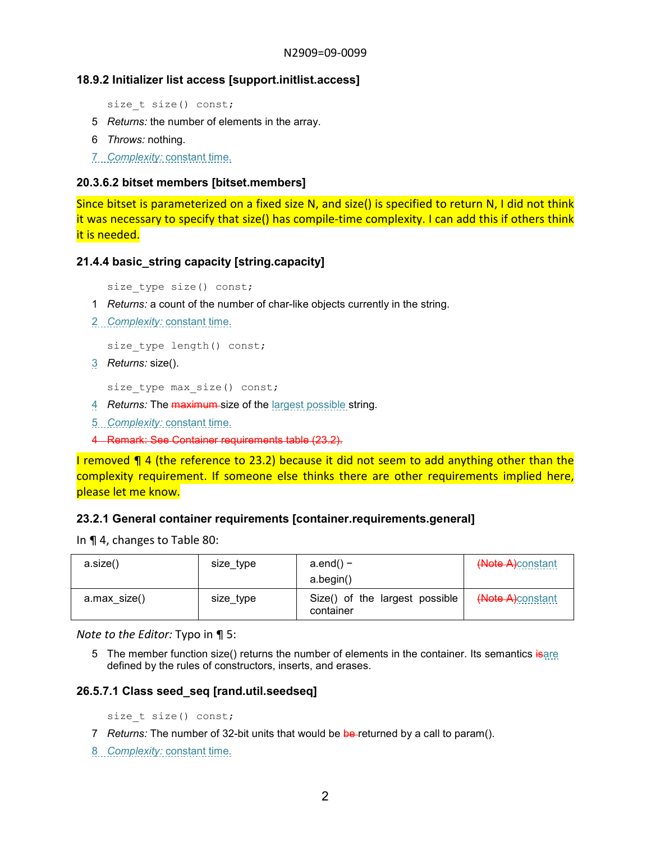## **18.9.2 Initializer list access [support.initlist.access]**

size t size() const;

- 5 *Returns:* the number of elements in the array.
- 6 *Throws:* nothing.

7 *Complexity:* constant time.

#### **20.3.6.2 bitset members [bitset.members]**

Since bitset is parameterized on a fixed size N, and size() is specified to return N, I did not think it was necessary to specify that size() has compile-time complexity. I can add this if others think it is needed.

#### **21.4.4 basic\_string capacity [string.capacity]**

size type size() const;

- 1 *Returns:* a count of the number of char-like objects currently in the string.
- 2 *Complexity:* constant time.

size type length() const;

3 *Returns:* size().

size type max size() const;

- 4 *Returns:* The maximum size of the largest possible string.
- 5 *Complexity:* constant time.
- 4 Remark: See Container requirements table (23.2).

I removed ¶ 4 (the reference to 23.2) because it did not seem to add anything other than the complexity requirement. If someone else thinks there are other requirements implied here, please let me know.

#### **23.2.1 General container requirements [container.requirements.general]**

In ¶ 4, changes to Table 80:

| a.size()     | size_type | $a.end()$ –<br>a.begin()                    | (Note A)constant |
|--------------|-----------|---------------------------------------------|------------------|
| a.max size() | size_type | Size() of the largest possible<br>container | (Note A)constant |

*Note to the Editor:* Typo in ¶ 5:

5 The member function size() returns the number of elements in the container. Its semantics is are defined by the rules of constructors, inserts, and erases.

#### **26.5.7.1 Class seed\_seq [rand.util.seedseq]**

size t size() const;

- 7 *Returns:* The number of 32-bit units that would be be-returned by a call to param().
- 8 *Complexity:* constant time.